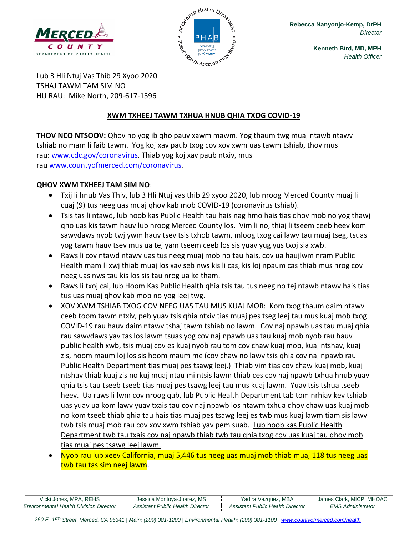



**Kenneth Bird, MD, MPH** *Health Officer*

Lub 3 Hli Ntuj Vas Thib 29 Xyoo 2020 TSHAJ TAWM TAM SIM NO HU RAU: Mike North, 209-617-1596

### **XWM TXHEEJ TAWM TXHUA HNUB QHIA TXOG COVID-19**

**THOV NCO NTSOOV:** Qhov no yog ib qho pauv xawm mawm. Yog thaum twg muaj ntawb ntawv tshiab no mam li faib tawm. Yog koj xav paub txog cov xov xwm uas tawm tshiab, thov mus rau: [www.cdc.gov/coronavirus.](http://www.cdc.gov/coronavirus) Thiab yog koj xav paub ntxiv, mus rau [www.countyofmerced.com/coronavirus.](http://www.countyofmerced.com/coronavirus)

### **QHOV XWM TXHEEJ TAM SIM NO**:

- Txij li hnub Vas Thiv, lub 3 Hli Ntuj vas thib 29 xyoo 2020, lub nroog Merced County muaj li cuaj (9) tus neeg uas muaj qhov kab mob COVID-19 (coronavirus tshiab).
- Tsis tas li ntawd, lub hoob kas Public Health tau hais nag hmo hais tias qhov mob no yog thawj qho uas kis tawm hauv lub nroog Merced County los. Vim li no, thiaj li tseem ceeb heev kom sawvdaws nyob twj ywm hauv tsev tsis txhob tawm, mloog txog cai lawv tau muaj tseg, tsuas yog tawm hauv tsev mus ua tej yam tseem ceeb los sis yuav yug yus txoj sia xwb.
- Raws li cov ntawd ntawv uas tus neeg muaj mob no tau hais, cov ua haujlwm nram Public Health mam li xwj thiab muaj los xav seb nws kis li cas, kis loj npaum cas thiab mus nrog cov neeg uas nws tau kis los sis tau nrog ua ke tham.
- Raws li txoj cai, lub Hoom Kas Public Health qhia tsis tau tus neeg no tej ntawb ntawv hais tias tus uas muaj qhov kab mob no yog leej twg.
- XOV XWM TSHIAB TXOG COV NEEG UAS TAU MUS KUAJ MOB: Kom txog thaum daim ntawv ceeb toom tawm ntxiv, peb yuav tsis qhia ntxiv tias muaj pes tseg leej tau mus kuaj mob txog COVID-19 rau hauv daim ntawv tshaj tawm tshiab no lawm. Cov naj npawb uas tau muaj qhia rau sawvdaws yav tas los lawm tsuas yog cov naj npawb uas tau kuaj mob nyob rau hauv public health xwb, tsis muaj cov es kuaj nyob rau tom cov chaw kuaj mob, kuaj ntshav, kuaj zis, hoom maum loj los sis hoom maum me (cov chaw no lawv tsis qhia cov naj npawb rau Public Health Department tias muaj pes tsawg leej.) Thiab vim tias cov chaw kuaj mob, kuaj ntshav thiab kuaj zis no kuj muaj ntau mi ntsis lawm thiab ces cov naj npawb txhua hnub yuav qhia tsis tau tseeb tseeb tias muaj pes tsawg leej tau mus kuaj lawm. Yuav tsis tshua tseeb heev. Ua raws li lwm cov nroog qab, lub Public Health Department tab tom nrhiav kev tshiab uas yuav ua kom lawv yuav txais tau cov naj npawb los ntawm txhua qhov chaw uas kuaj mob no kom tseeb thiab qhia tau hais tias muaj pes tsawg leej es twb mus kuaj lawm tiam sis lawv twb tsis muaj mob rau cov xov xwm tshiab yav pem suab. Lub hoob kas Public Health Department twb tau txais cov naj npawb thiab twb tau qhia txog cov uas kuaj tau qhov mob tias muaj pes tsawg leej lawm.
- Nyob rau lub xeev California, muaj 5,446 tus neeg uas muaj mob thiab muaj 118 tus neeg uas twb tau tas sim neej lawm.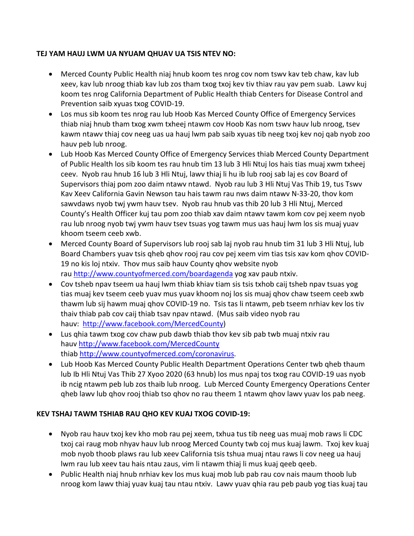### **TEJ YAM HAUJ LWM UA NYUAM QHUAV UA TSIS NTEV NO:**

- Merced County Public Health niaj hnub koom tes nrog cov nom tswv kav teb chaw, kav lub xeev, kav lub nroog thiab kav lub zos tham txog txoj kev tiv thiav rau yav pem suab. Lawv kuj koom tes nrog California Department of Public Health thiab Centers for Disease Control and Prevention saib xyuas txog COVID-19.
- Los mus sib koom tes nrog rau lub Hoob Kas Merced County Office of Emergency Services thiab niaj hnub tham txog xwm txheej ntawm cov Hoob Kas nom tswv hauv lub nroog, tsev kawm ntawv thiaj cov neeg uas ua hauj lwm pab saib xyuas tib neeg txoj kev noj qab nyob zoo hauv peb lub nroog.
- Lub Hoob Kas Merced County Office of Emergency Services thiab Merced County Department of Public Health los sib koom tes rau hnub tim 13 lub 3 Hli Ntuj los hais tias muaj xwm txheej ceev. Nyob rau hnub 16 lub 3 Hli Ntuj, lawv thiaj li hu ib lub rooj sab laj es cov Board of Supervisors thiaj pom zoo daim ntawv ntawd. Nyob rau lub 3 Hli Ntuj Vas Thib 19, tus Tswv Kav Xeev California Gavin Newson tau hais tawm rau nws daim ntawv N-33-20, thov kom sawvdaws nyob twj ywm hauv tsev. Nyob rau hnub vas thib 20 lub 3 Hli Ntuj, Merced County's Health Officer kuj tau pom zoo thiab xav daim ntawv tawm kom cov pej xeem nyob rau lub nroog nyob twj ywm hauv tsev tsuas yog tawm mus uas hauj lwm los sis muaj yuav khoom tseem ceeb xwb.
- Merced County Board of Supervisors lub rooj sab laj nyob rau hnub tim 31 lub 3 Hli Ntuj, lub Board Chambers yuav tsis qheb qhov rooj rau cov pej xeem vim tias tsis xav kom qhov COVID-19 no kis loj ntxiv. Thov mus saib hauv County qhov website nyob rau<http://www.countyofmerced.com/boardagenda> yog xav paub ntxiv.
- Cov tsheb npav tseem ua hauj lwm thiab khiav tiam sis tsis txhob caij tsheb npav tsuas yog tias muaj kev tseem ceeb yuav mus yuav khoom noj los sis muaj qhov chaw tseem ceeb xwb thawm lub sij hawm muaj qhov COVID-19 no. Tsis tas li ntawm, peb tseem nrhiav kev los tiv thaiv thiab pab cov caij thiab tsav npav ntawd. (Mus saib video nyob rau hauv: [http://www.facebook.com/MercedCounty\)](http://www.facebook.com/MercedCounty)
- Lus qhia tawm txog cov chaw pub dawb thiab thov kev sib pab twb muaj ntxiv rau hauv<http://www.facebook.com/MercedCounty> thiab [http://www.countyofmerced.com/coronavirus.](http://www.countyofmerced.com/coronavirus)
- Lub Hoob Kas Merced County Public Health Department Operations Center twb qheb thaum lub Ib Hli Ntuj Vas Thib 27 Xyoo 2020 (63 hnub) los mus npaj tos txog rau COVID-19 uas nyob ib ncig ntawm peb lub zos thaib lub nroog. Lub Merced County Emergency Operations Center qheb lawv lub qhov rooj thiab tso qhov no rau theem 1 ntawm qhov lawv yuav los pab neeg.

## **KEV TSHAJ TAWM TSHIAB RAU QHO KEV KUAJ TXOG COVID-19:**

- Nyob rau hauv txoj kev kho mob rau pej xeem, txhua tus tib neeg uas muaj mob raws li CDC txoj cai raug mob nhyav hauv lub nroog Merced County twb coj mus kuaj lawm. Txoj kev kuaj mob nyob thoob plaws rau lub xeev California tsis tshua muaj ntau raws li cov neeg ua hauj lwm rau lub xeev tau hais ntau zaus, vim li ntawm thiaj li mus kuaj qeeb qeeb.
- Public Health niaj hnub nrhiav kev los mus kuaj mob lub pab rau cov nais maum thoob lub nroog kom lawv thiaj yuav kuaj tau ntau ntxiv. Lawv yuav qhia rau peb paub yog tias kuaj tau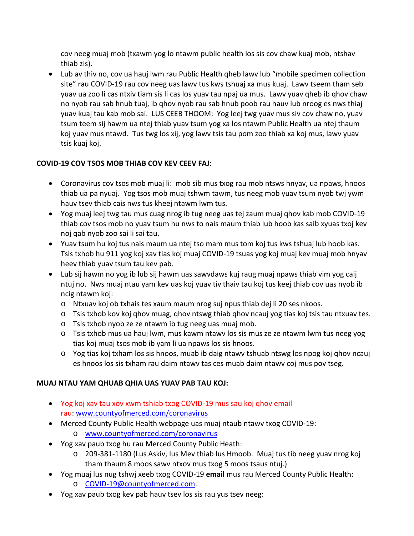cov neeg muaj mob (txawm yog lo ntawm public health los sis cov chaw kuaj mob, ntshav thiab zis).

• Lub av thiv no, cov ua hauj lwm rau Public Health qheb lawv lub "mobile specimen collection site" rau COVID-19 rau cov neeg uas lawv tus kws tshuaj xa mus kuaj. Lawv tseem tham seb yuav ua zoo li cas ntxiv tiam sis li cas los yuav tau npaj ua mus. Lawv yuav qheb ib qhov chaw no nyob rau sab hnub tuaj, ib qhov nyob rau sab hnub poob rau hauv lub nroog es nws thiaj yuav kuaj tau kab mob sai. LUS CEEB THOOM: Yog leej twg yuav mus siv cov chaw no, yuav tsum teem sij hawm ua ntej thiab yuav tsum yog xa los ntawm Public Health ua ntej thaum koj yuav mus ntawd. Tus twg los xij, yog lawv tsis tau pom zoo thiab xa koj mus, lawv yuav tsis kuaj koj.

## **COVID-19 COV TSOS MOB THIAB COV KEV CEEV FAJ:**

- Coronavirus cov tsos mob muaj li: mob sib mus txog rau mob ntsws hnyav, ua npaws, hnoos thiab ua pa nyuaj. Yog tsos mob muaj tshwm tawm, tus neeg mob yuav tsum nyob twj ywm hauv tsev thiab cais nws tus kheej ntawm lwm tus.
- Yog muaj leej twg tau mus cuag nrog ib tug neeg uas tej zaum muaj qhov kab mob COVID-19 thiab cov tsos mob no yuav tsum hu nws to nais maum thiab lub hoob kas saib xyuas txoj kev noj qab nyob zoo sai li sai tau.
- Yuav tsum hu koj tus nais maum ua ntej tso mam mus tom koj tus kws tshuaj lub hoob kas. Tsis txhob hu 911 yog koj xav tias koj muaj COVID-19 tsuas yog koj muaj kev muaj mob hnyav heev thiab yuav tsum tau kev pab.
- Lub sij hawm no yog ib lub sij hawm uas sawvdaws kuj raug muaj npaws thiab vim yog caij ntuj no. Nws muaj ntau yam kev uas koj yuav tiv thaiv tau koj tus keej thiab cov uas nyob ib ncig ntawm koj:
	- o Ntxuav koj ob txhais tes xaum maum nrog suj npus thiab dej li 20 ses nkoos.
	- o Tsis txhob kov koj qhov muag, qhov ntswg thiab qhov ncauj yog tias koj tsis tau ntxuav tes.
	- o Tsis txhob nyob ze ze ntawm ib tug neeg uas muaj mob.
	- o Tsis txhob mus ua hauj lwm, mus kawm ntawv los sis mus ze ze ntawm lwm tus neeg yog tias koj muaj tsos mob ib yam li ua npaws los sis hnoos.
	- o Yog tias koj txham los sis hnoos, muab ib daig ntawv tshuab ntswg los npog koj qhov ncauj es hnoos los sis txham rau daim ntawv tas ces muab daim ntawv coj mus pov tseg.

# **MUAJ NTAU YAM QHUAB QHIA UAS YUAV PAB TAU KOJ:**

- Yog koj xav tau xov xwm tshiab txog COVID-19 mus sau koj qhov email rau: [www.countyofmerced.com/coronavirus](http://www.countyofmerced.com/coronavirus)
- Merced County Public Health webpage uas muaj ntaub ntawv txog COVID-19: o [www.countyofmerced.com/coronavirus](http://www.countyofmerced.com/coronavirus)
- Yog xav paub txog hu rau Merced County Public Heath:
	- o 209-381-1180 (Lus Askiv, lus Mev thiab lus Hmoob. Muaj tus tib neeg yuav nrog koj tham thaum 8 moos sawv ntxov mus txog 5 moos tsaus ntuj.)
- Yog muaj lus nug tshwj xeeb txog COVID-19 **email** mus rau Merced County Public Health:
	- o [COVID-19@countyofmerced.com.](mailto:COVID-19@countyofmerced.com)
- Yog xav paub txog kev pab hauv tsev los sis rau yus tsev neeg: